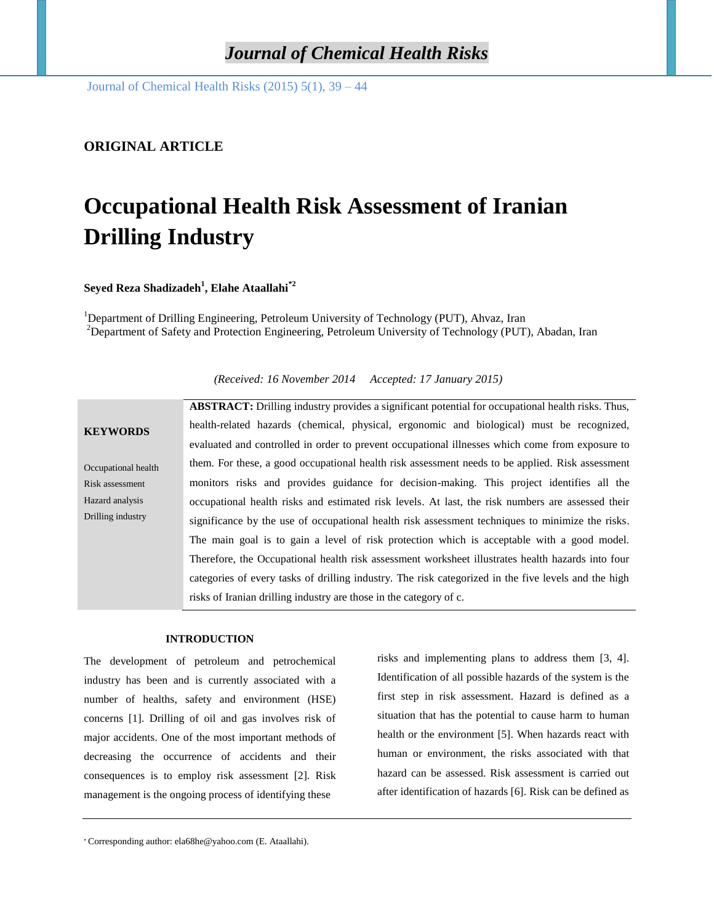Journal of Chemical Health Risks (2015) 5(1), 39 – 44

## **ORIGINAL ARTICLE**

# **Occupational Health Risk Assessment of Iranian Drilling Industry**

**Seyed Reza Shadizadeh<sup>1</sup> , Elahe Ataallahi\*2**

<sup>1</sup>Department of Drilling Engineering, Petroleum University of Technology (PUT), Ahvaz, Iran <sup>2</sup>Department of Safety and Protection Engineering, Petroleum University of Technology (PUT), Abadan, Iran

**KEYWORDS** Occupational health Risk assessment Hazard analysis Drilling industry **ABSTRACT:** Drilling industry provides a significant potential for occupational health risks. Thus, health-related hazards (chemical, physical, ergonomic and biological) must be recognized, evaluated and controlled in order to prevent occupational illnesses which come from exposure to them. For these, a good occupational health risk assessment needs to be applied. Risk assessment monitors risks and provides guidance for decision-making. This project identifies all the occupational health risks and estimated risk levels. At last, the risk numbers are assessed their significance by the use of occupational health risk assessment techniques to minimize the risks. The main goal is to gain a level of risk protection which is acceptable with a good model. Therefore, the Occupational health risk assessment worksheet illustrates health hazards into four categories of every tasks of drilling industry. The risk categorized in the five levels and the high risks of Iranian drilling industry are those in the category of c.

#### **INTRODUCTION**

The development of petroleum and petrochemical industry has been and is currently associated with a number of healths, safety and environment (HSE) concerns [1]. Drilling of oil and gas involves risk of major accidents. One of the most important methods of decreasing the occurrence of accidents and their consequences is to employ risk assessment [2]. Risk management is the ongoing process of identifying these

risks and implementing plans to address them [3, 4]. Identification of all possible hazards of the system is the first step in risk assessment. Hazard is defined as a situation that has the potential to cause harm to human health or the environment [5]. When hazards react with human or environment, the risks associated with that hazard can be assessed. Risk assessment is carried out after identification of hazards [6]. Risk can be defined as

*(Received: 16 November 2014 Accepted: 17 January 2015)*

<sup>∗</sup> Corresponding author: [ela68he@yahoo.com](mailto:ela68he@yahoo.com) (E. Ataallahi).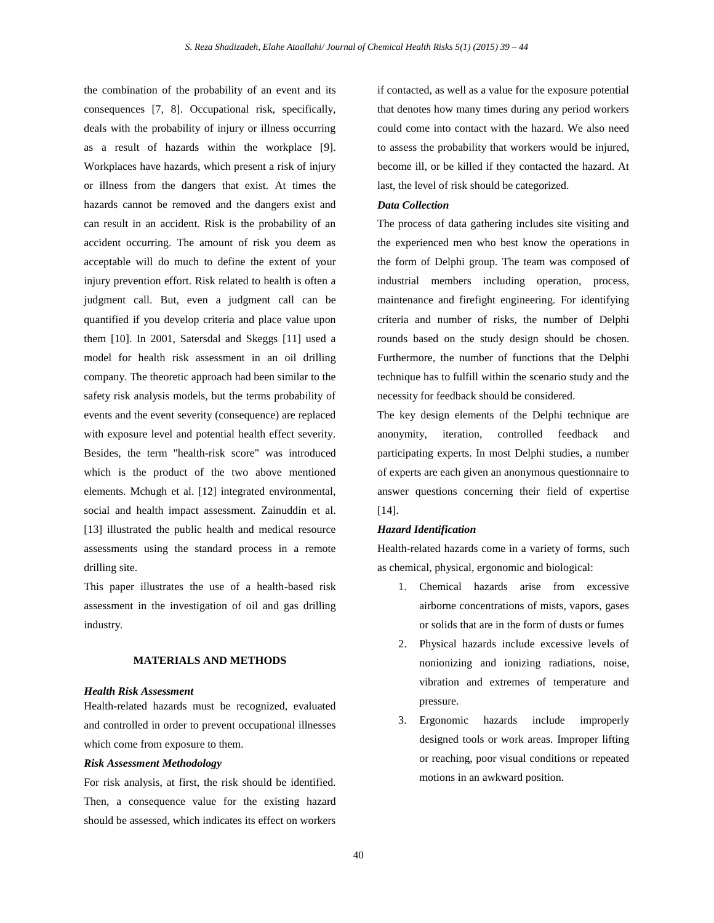the combination of the probability of an event and its consequences [7, 8]. Occupational risk, specifically, deals with the probability of injury or illness occurring as a result of hazards within the workplace [9]. Workplaces have hazards, which present a risk of injury or illness from the dangers that exist. At times the hazards cannot be removed and the dangers exist and can result in an accident. Risk is the probability of an accident occurring. The amount of risk you deem as acceptable will do much to define the extent of your injury prevention effort. Risk related to health is often a judgment call. But, even a judgment call can be quantified if you develop criteria and place value upon them [10]. In 2001, Satersdal and Skeggs [11] used a model for health risk assessment in an oil drilling company. The theoretic approach had been similar to the safety risk analysis models, but the terms probability of events and the event severity (consequence) are replaced with exposure level and potential health effect severity. Besides, the term "health-risk score" was introduced which is the product of the two above mentioned elements. Mchugh et al. [12] integrated environmental, social and health impact assessment. Zainuddin et al. [13] illustrated the public health and medical resource assessments using the standard process in a remote drilling site.

This paper illustrates the use of a health-based risk assessment in the investigation of oil and gas drilling industry.

## **MATERIALS AND METHODS**

### *Health Risk Assessment*

Health-related hazards must be recognized, evaluated and controlled in order to prevent occupational illnesses which come from exposure to them.

#### *Risk Assessment Methodology*

For risk analysis, at first, the risk should be identified. Then, a consequence value for the existing hazard should be assessed, which indicates its effect on workers

if contacted, as well as a value for the exposure potential that denotes how many times during any period workers could come into contact with the hazard. We also need to assess the probability that workers would be injured, become ill, or be killed if they contacted the hazard. At last, the level of risk should be categorized.

#### *Data Collection*

The process of data gathering includes site visiting and the experienced men who best know the operations in the form of Delphi group. The team was composed of industrial members including operation, process, maintenance and firefight engineering. For identifying criteria and number of risks, the number of Delphi rounds based on the study design should be chosen. Furthermore, the number of functions that the Delphi technique has to fulfill within the scenario study and the necessity for feedback should be considered.

The key design elements of the Delphi technique are anonymity, iteration, controlled feedback and participating experts. In most Delphi studies, a number of experts are each given an anonymous questionnaire to answer questions concerning their field of expertise [14].

#### *Hazard Identification*

Health-related hazards come in a variety of forms, such as chemical, physical, ergonomic and biological:

- 1. Chemical hazards arise from excessive airborne concentrations of mists, vapors, gases or solids that are in the form of dusts or fumes
- 2. Physical hazards include excessive levels of nonionizing and ionizing radiations, noise, vibration and extremes of temperature and pressure.
- 3. Ergonomic hazards include improperly designed tools or work areas. Improper lifting or reaching, poor visual conditions or repeated motions in an awkward position.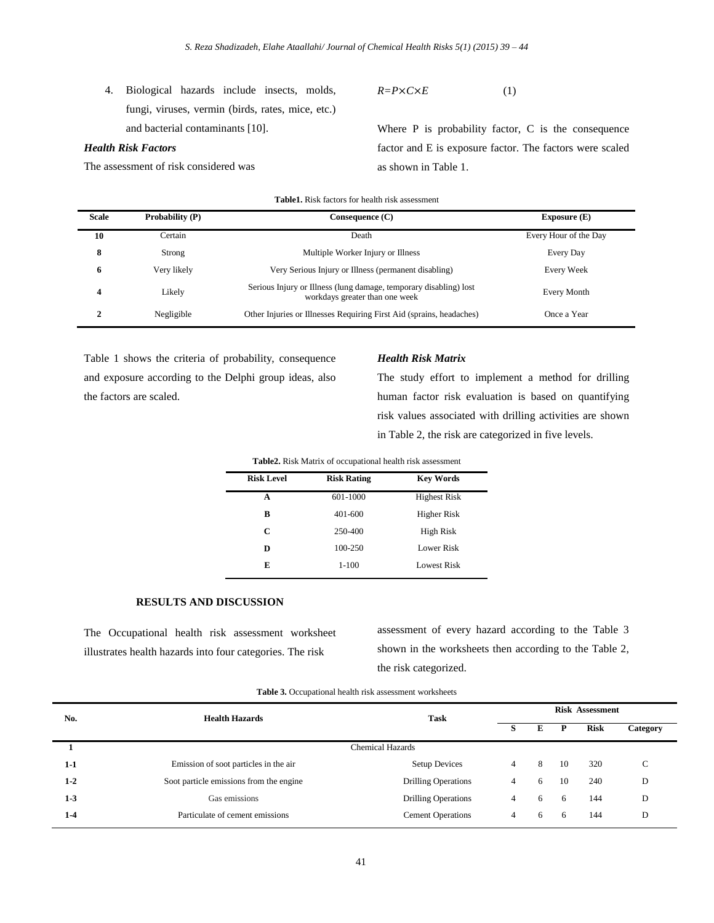4. Biological hazards include insects, molds, fungi, viruses, vermin (birds, rates, mice, etc.) and bacterial contaminants [10].

## *Health Risk Factors*

The assessment of risk considered was

 $R = P \times C \times E$  (1)

Where P is probability factor, C is the consequence factor and E is exposure factor. The factors were scaled as shown in Table 1.

| <b>Table1.</b> Risk factors for health risk assessment |             |                                                                                                     |                       |  |  |  |
|--------------------------------------------------------|-------------|-----------------------------------------------------------------------------------------------------|-----------------------|--|--|--|
| <b>Scale</b><br>Probability (P)                        |             | Consequence (C)                                                                                     | Exposure $(E)$        |  |  |  |
| 10                                                     | Certain     | Death                                                                                               | Every Hour of the Day |  |  |  |
| 8                                                      | Strong      | Multiple Worker Injury or Illness                                                                   | Every Day             |  |  |  |
| 6                                                      | Very likely | Very Serious Injury or Illness (permanent disabling)                                                | Every Week            |  |  |  |
| $\boldsymbol{4}$                                       | Likely      | Serious Injury or Illness (lung damage, temporary disabling) lost<br>workdays greater than one week | Every Month           |  |  |  |
| 2                                                      | Negligible  | Other Injuries or Illnesses Requiring First Aid (sprains, headaches)                                | Once a Year           |  |  |  |

Table 1 shows the criteria of probability, consequence and exposure according to the Delphi group ideas, also the factors are scaled.

#### *Health Risk Matrix*

The study effort to implement a method for drilling human factor risk evaluation is based on quantifying risk values associated with drilling activities are shown in Table 2, the risk are categorized in five levels.

| <b>Risk Level</b> | <b>Risk Rating</b> | <b>Key Words</b>    |
|-------------------|--------------------|---------------------|
| A                 | 601-1000           | <b>Highest Risk</b> |
| B                 | 401-600            | Higher Risk         |
| C                 | 250-400            | High Risk           |
| D                 | 100-250            | Lower Risk          |
| E                 | $1-100$            | Lowest Risk         |
|                   |                    |                     |

**Table2.** Risk Matrix of occupational health risk assessment

## **RESULTS AND DISCUSSION**

The Occupational health risk assessment worksheet illustrates health hazards into four categories. The risk

assessment of every hazard according to the Table 3 shown in the worksheets then according to the Table 2, the risk categorized.

| Table 3. Occupational health risk assessment worksheets |  |  |  |
|---------------------------------------------------------|--|--|--|
|---------------------------------------------------------|--|--|--|

| No.     | <b>Health Hazards</b>                   | <b>Task</b>                | <b>Risk Assessment</b> |   |    |      |          |  |
|---------|-----------------------------------------|----------------------------|------------------------|---|----|------|----------|--|
|         |                                         |                            | s                      | E |    | Risk | Category |  |
|         |                                         | <b>Chemical Hazards</b>    |                        |   |    |      |          |  |
| $1-1$   | Emission of soot particles in the air   | <b>Setup Devices</b>       | 4                      | 8 | 10 | 320  | С        |  |
| $1 - 2$ | Soot particle emissions from the engine | <b>Drilling Operations</b> | 4                      | 6 | 10 | 240  | D        |  |
| $1-3$   | Gas emissions                           | <b>Drilling Operations</b> | 4                      | 6 | 6  | 144  | D        |  |
| $1-4$   | Particulate of cement emissions         | <b>Cement Operations</b>   | 4                      | 6 | 6  | 144  | D        |  |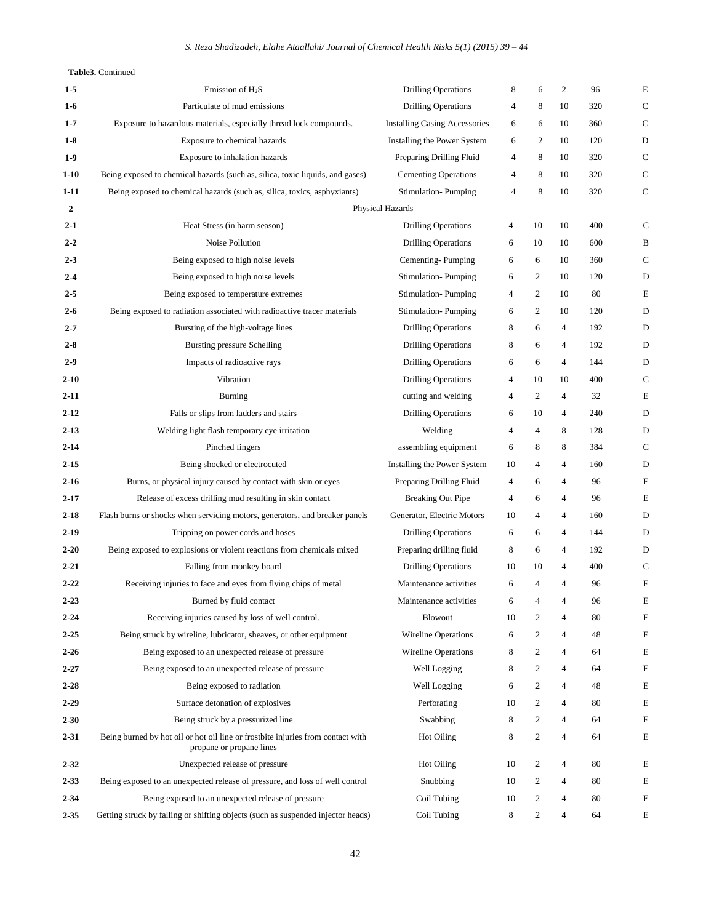#### **Table3.** Continued

Ĭ.

| $1-5$          | Emission of $H_2S$                                                                                          | <b>Drilling Operations</b>           | 8              | 6              | 2              | 96  | E           |
|----------------|-------------------------------------------------------------------------------------------------------------|--------------------------------------|----------------|----------------|----------------|-----|-------------|
| $1-6$          | Particulate of mud emissions                                                                                | Drilling Operations                  | 4              | 8              | 10             | 320 | $\mathbf C$ |
| $1 - 7$        | Exposure to hazardous materials, especially thread lock compounds.                                          | <b>Installing Casing Accessories</b> | 6              | 6              | 10             | 360 | $\mathbf C$ |
| $1-8$          | Exposure to chemical hazards                                                                                | Installing the Power System          | 6              | 2              | 10             | 120 | D           |
| $1-9$          | Exposure to inhalation hazards                                                                              | Preparing Drilling Fluid             | 4              | 8              | 10             | 320 | $\mathbf C$ |
| $1-10$         | Being exposed to chemical hazards (such as, silica, toxic liquids, and gases)                               | <b>Cementing Operations</b>          | 4              | 8              | 10             | 320 | $\mathbf C$ |
| $1-11$         | Being exposed to chemical hazards (such as, silica, toxics, asphyxiants)                                    | Stimulation-Pumping                  | 4              | 8              | 10             | 320 | $\mathbf C$ |
| $\overline{2}$ |                                                                                                             | Physical Hazards                     |                |                |                |     |             |
| $2 - 1$        | Heat Stress (in harm season)                                                                                | <b>Drilling Operations</b>           | 4              | 10             | 10             | 400 | C           |
| $2 - 2$        | Noise Pollution                                                                                             | <b>Drilling Operations</b>           | 6              | 10             | 10             | 600 | B           |
| $2 - 3$        | Being exposed to high noise levels                                                                          | Cementing-Pumping                    | 6              | 6              | 10             | 360 | C           |
| $2 - 4$        | Being exposed to high noise levels                                                                          | Stimulation-Pumping                  | 6              | 2              | 10             | 120 | D           |
| $2 - 5$        | Being exposed to temperature extremes                                                                       | Stimulation-Pumping                  | 4              | $\mathfrak{2}$ | 10             | 80  | E           |
| $2 - 6$        | Being exposed to radiation associated with radioactive tracer materials                                     | Stimulation-Pumping                  | 6              | $\overline{c}$ | 10             | 120 | D           |
| $2 - 7$        | Bursting of the high-voltage lines                                                                          | <b>Drilling Operations</b>           | 8              | 6              | 4              | 192 | D           |
| $2 - 8$        | Bursting pressure Schelling                                                                                 | Drilling Operations                  | 8              | 6              | $\overline{4}$ | 192 | D           |
| $2-9$          | Impacts of radioactive rays                                                                                 | <b>Drilling Operations</b>           | 6              | 6              | 4              | 144 | D           |
| $2 - 10$       | Vibration                                                                                                   | <b>Drilling Operations</b>           | 4              | 10             | 10             | 400 | C           |
| $2 - 11$       | <b>Burning</b>                                                                                              | cutting and welding                  | $\overline{4}$ | $\overline{c}$ | 4              | 32  | E           |
| $2 - 12$       | Falls or slips from ladders and stairs                                                                      | <b>Drilling Operations</b>           | 6              | 10             | $\overline{4}$ | 240 | D           |
| $2 - 13$       | Welding light flash temporary eye irritation                                                                | Welding                              | 4              | 4              | 8              | 128 | D           |
| $2 - 14$       | Pinched fingers                                                                                             | assembling equipment                 | 6              | 8              | 8              | 384 | C           |
| $2 - 15$       | Being shocked or electrocuted                                                                               | Installing the Power System          | 10             | 4              | $\overline{4}$ | 160 | D           |
| $2 - 16$       | Burns, or physical injury caused by contact with skin or eyes                                               | Preparing Drilling Fluid             | 4              | 6              | 4              | 96  | E           |
| $2 - 17$       | Release of excess drilling mud resulting in skin contact                                                    | <b>Breaking Out Pipe</b>             | 4              | 6              | 4              | 96  | E           |
| $2 - 18$       | Flash burns or shocks when servicing motors, generators, and breaker panels                                 | Generator, Electric Motors           | 10             | 4              | $\overline{4}$ | 160 | D           |
| $2-19$         | Tripping on power cords and hoses                                                                           | Drilling Operations                  | 6              | 6              | $\overline{4}$ | 144 | D           |
| $2 - 20$       | Being exposed to explosions or violent reactions from chemicals mixed                                       | Preparing drilling fluid             | 8              | 6              | $\overline{4}$ | 192 | D           |
| $2 - 21$       | Falling from monkey board                                                                                   | <b>Drilling Operations</b>           | 10             | 10             | 4              | 400 | $\mathbf C$ |
| $2 - 22$       | Receiving injuries to face and eyes from flying chips of metal                                              | Maintenance activities               | 6              | $\overline{4}$ | $\overline{4}$ | 96  | E           |
| $2 - 23$       | Burned by fluid contact                                                                                     | Maintenance activities               | 6              | 4              | 4              | 96  | E           |
| $2 - 24$       | Receiving injuries caused by loss of well control.                                                          | <b>Blowout</b>                       | 10             | 2              | 4              | 80  | Е           |
| $2 - 25$       | Being struck by wireline, lubricator, sheaves, or other equipment                                           | <b>Wireline Operations</b>           | 6              | 2              | 4              | 48  | Е           |
| $2 - 26$       | Being exposed to an unexpected release of pressure                                                          | <b>Wireline Operations</b>           | 8              | 2              | $\overline{4}$ | 64  | E           |
| $2 - 27$       | Being exposed to an unexpected release of pressure                                                          | Well Logging                         | 8              | 2              | $\overline{4}$ | 64  | E           |
| $2 - 28$       | Being exposed to radiation                                                                                  | Well Logging                         | 6              | 2              | 4              | 48  | Е           |
| $2 - 29$       | Surface detonation of explosives                                                                            | Perforating                          | 10             | 2              | 4              | 80  | E           |
| $2 - 30$       | Being struck by a pressurized line                                                                          | Swabbing                             | 8              | 2              | $\overline{4}$ | 64  | E           |
| $2 - 31$       | Being burned by hot oil or hot oil line or frostbite injuries from contact with<br>propane or propane lines | Hot Oiling                           | 8              | 2              | $\overline{4}$ | 64  | E           |
| $2 - 32$       | Unexpected release of pressure                                                                              | Hot Oiling                           | 10             | 2              | 4              | 80  | E           |
| $2 - 33$       | Being exposed to an unexpected release of pressure, and loss of well control                                | Snubbing                             | 10             | 2              | 4              | 80  | Е           |
| $2 - 34$       | Being exposed to an unexpected release of pressure                                                          | Coil Tubing                          | 10             | 2              | $\overline{4}$ | 80  | E           |
| $2 - 35$       | Getting struck by falling or shifting objects (such as suspended injector heads)                            | Coil Tubing                          | 8              | 2              | 4              | 64  | E           |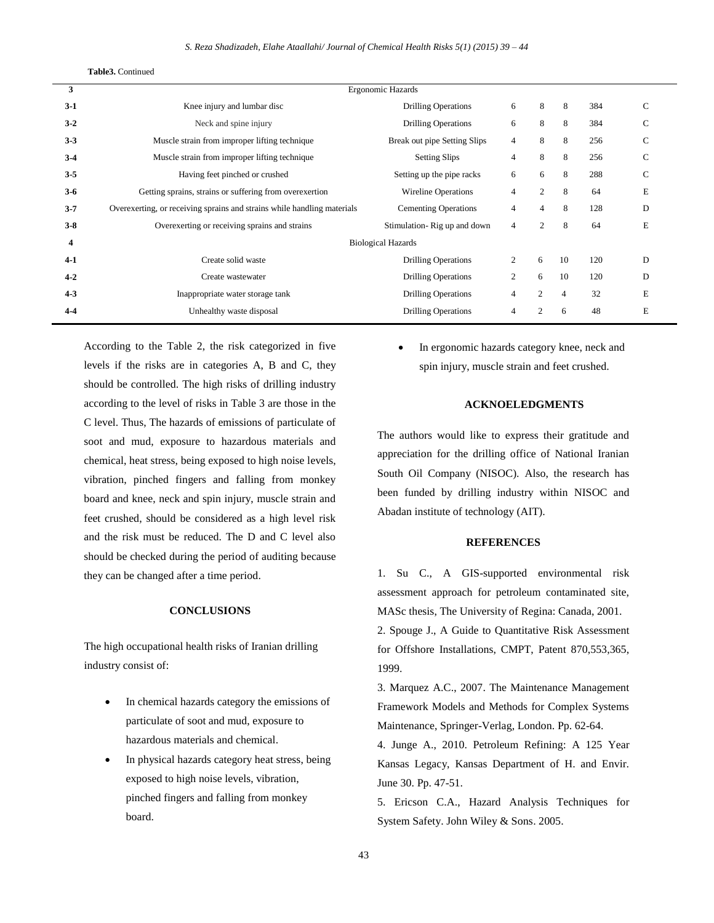**Table3.** Continued

| 3       | Ergonomic Hazards                                                       |                              |                |                |                |     |               |  |
|---------|-------------------------------------------------------------------------|------------------------------|----------------|----------------|----------------|-----|---------------|--|
| $3-1$   | Knee injury and lumbar disc                                             | <b>Drilling Operations</b>   | 6              | 8              | 8              | 384 | C             |  |
| $3-2$   | Neck and spine injury                                                   | <b>Drilling Operations</b>   | 6              | 8              | 8              | 384 | C             |  |
| $3 - 3$ | Muscle strain from improper lifting technique                           | Break out pipe Setting Slips | $\overline{4}$ | 8              | 8              | 256 | C             |  |
| $3-4$   | Muscle strain from improper lifting technique                           | <b>Setting Slips</b>         | $\overline{4}$ | 8              | 8              | 256 | C             |  |
| $3 - 5$ | Having feet pinched or crushed                                          | Setting up the pipe racks    | 6              | 6              | 8              | 288 | $\mathcal{C}$ |  |
| $3-6$   | Getting sprains, strains or suffering from overexertion                 | <b>Wireline Operations</b>   | $\overline{4}$ | $\overline{2}$ | 8              | 64  | E             |  |
| $3 - 7$ | Overexerting, or receiving sprains and strains while handling materials | <b>Cementing Operations</b>  | $\overline{4}$ | 4              | 8              | 128 | D             |  |
| $3-8$   | Overexerting or receiving sprains and strains                           | Stimulation-Rig up and down  | 4              | 2              | 8              | 64  | E             |  |
| 4       | <b>Biological Hazards</b>                                               |                              |                |                |                |     |               |  |
| $4-1$   | Create solid waste                                                      | <b>Drilling Operations</b>   | $\overline{2}$ | 6              | 10             | 120 | D             |  |
| $4 - 2$ | Create wastewater                                                       | <b>Drilling Operations</b>   | $\overline{c}$ | 6              | 10             | 120 | D             |  |
| $4 - 3$ | Inappropriate water storage tank                                        | <b>Drilling Operations</b>   | 4              | 2              | $\overline{4}$ | 32  | E             |  |
| $4 - 4$ | Unhealthy waste disposal                                                | <b>Drilling Operations</b>   | 4              | 2              | 6              | 48  | E             |  |

According to the Table 2, the risk categorized in five levels if the risks are in categories A, B and C, they should be controlled. The high risks of drilling industry according to the level of risks in Table 3 are those in the C level. Thus, The hazards of emissions of particulate of soot and mud, exposure to hazardous materials and chemical, heat stress, being exposed to high noise levels, vibration, pinched fingers and falling from monkey board and knee, neck and spin injury, muscle strain and feet crushed, should be considered as a high level risk and the risk must be reduced. The D and C level also should be checked during the period of auditing because they can be changed after a time period.

## **CONCLUSIONS**

The high occupational health risks of Iranian drilling industry consist of:

- In chemical hazards category the emissions of particulate of soot and mud, exposure to hazardous materials and chemical.
- In physical hazards category heat stress, being exposed to high noise levels, vibration, pinched fingers and falling from monkey board.

 In ergonomic hazards category knee, neck and spin injury, muscle strain and feet crushed.

## **ACKNOELEDGMENTS**

The authors would like to express their gratitude and appreciation for the drilling office of National Iranian South Oil Company (NISOC). Also, the research has been funded by drilling industry within NISOC and Abadan institute of technology (AIT).

## **REFERENCES**

1. Su C., A GIS-supported environmental risk assessment approach for petroleum contaminated site, MASc thesis, The University of Regina: Canada, 2001.

2. Spouge J., A Guide to Quantitative Risk Assessment for Offshore Installations, CMPT, Patent 870,553,365, 1999.

3. Marquez A.C., 2007. The Maintenance Management Framework Models and Methods for Complex Systems Maintenance, Springer-Verlag, London. Pp. 62-64.

4. Junge A., 2010. Petroleum Refining: A 125 Year Kansas Legacy, Kansas Department of H. and Envir. June 30. Pp. 47-51.

5. Ericson C.A., Hazard Analysis Techniques for System Safety. John Wiley & Sons. 2005.